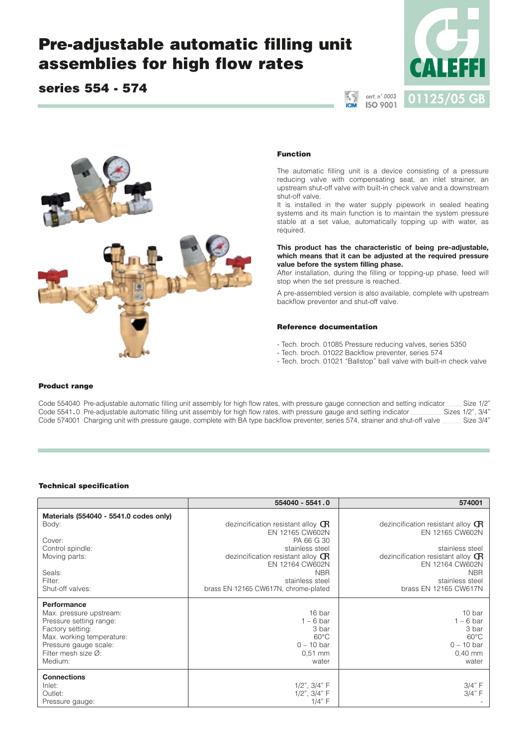# **Pre-adjustable automatic filling unit assemblies for high flow rates**

## **series 554 - 574**





#### **Function**

The automatic filling unit is a device consisting of a pressure reducing valve with compensating seat, an inlet strainer, an upstream shut-off valve with built-in check valve and a downstream shut-off valve.

It is installed in the water supply pipework in sealed heating systems and its main function is to maintain the system pressure stable at a set value, automatically topping up with water, as required.

**This product has the characteristic of being pre-adjustable, which means that it can be adjusted at the required pressure value before the system filling phase.**

After installation, during the filling or topping-up phase, feed will stop when the set pressure is reached.

A pre-assembled version is also available, complete with upstream backflow preventer and shut-off valve.

#### **Reference documentation**

- Tech. broch. 01085 Pressure reducing valves, series 5350
- Tech. broch. 01022 Backflow preventer, series 574
- Tech. broch. 01021 "Ballstop" ball valve with built-in check valve

#### **Product range**

Code 554040 Pre-adjustable automatic filling unit assembly for high flow rates, with pressure gauge connection and setting indicator Size 1/2" Code 5541.0 Pre-adjustable automatic filling unit assembly for high flow rates, Code 5541.0 Pre-adjustable automatic filling unit assembly for high flow rates, with pressure gauge and setting indicator Sizes 1/2", 3/4"<br>Code 574001 Charging unit with pressure gauge, complete with BA type backflow preve Code 574001 Charging unit with pressure gauge, complete with BA type backflow preventer, series 574, strainer and shut-off valve

#### **Technical specification**

|                                                                                                                                                                               | 554040 - 5541.0                                                                                                                                 | 574001                                                                                                                            |
|-------------------------------------------------------------------------------------------------------------------------------------------------------------------------------|-------------------------------------------------------------------------------------------------------------------------------------------------|-----------------------------------------------------------------------------------------------------------------------------------|
| Materials (554040 - 5541.0 codes only)<br>Body:<br>Cover:<br>Control spindle:<br>Moving parts:                                                                                | dezincification resistant alloy $\mathbb{G}$<br>EN 12165 CW602N<br>PA 66 G 30<br>stainless steel<br>dezincification resistant alloy $\mathbf G$ | dezincification resistant alloy $\mathbb{G}$<br>EN 12165 CW602N<br>stainless steel<br>dezincification resistant alloy $\mathbf G$ |
| Seals:<br>Filter:<br>Shut-off valves:                                                                                                                                         | EN 12164 CW602N<br><b>NBR</b><br>stainless steel<br>brass EN 12165 CW617N, chrome-plated                                                        | EN 12164 CW602N<br><b>NBR</b><br>stainless steel<br>brass EN 12165 CW617N                                                         |
| Performance<br>Max. pressure upstream:<br>Pressure setting range:<br>Factory setting:<br>Max. working temperature:<br>Pressure gauge scale:<br>Filter mesh size Ø:<br>Medium: | 16 bar<br>$1 - 6$ bar<br>3 bar<br>$60^{\circ}$ C<br>$0 - 10$ bar<br>$0.51$ mm<br>water                                                          | 10 bar<br>$1 - 6$ bar<br>3 bar<br>$60^{\circ}$ C<br>$0 - 10$ bar<br>$0,40$ mm<br>water                                            |
| <b>Connections</b><br>Inlet:<br>Outlet:<br>Pressure gauge:                                                                                                                    | $1/2$ ", $3/4$ " F<br>$1/2$ ", $3/4$ " F<br>1/4" F                                                                                              | 3/4" F<br>3/4" F                                                                                                                  |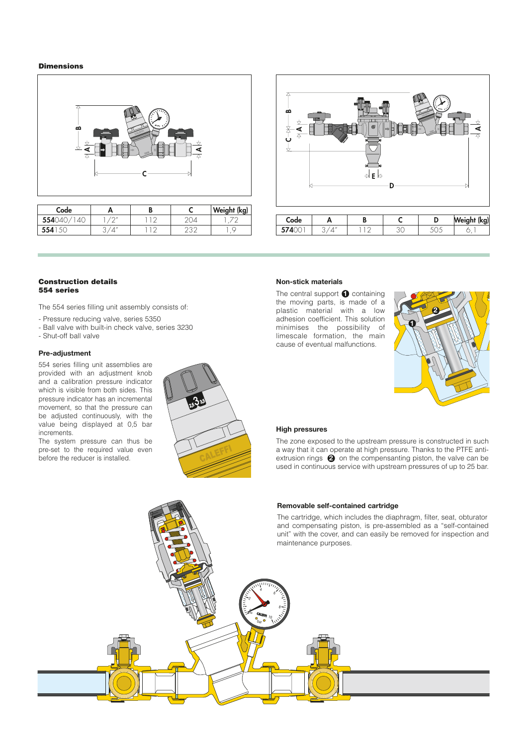#### **Dimensions**



| Code  |                                    |  | Weight (kg) |
|-------|------------------------------------|--|-------------|
| 55404 | $1^{\prime}$ $\cap$ $\prime\prime$ |  |             |
| 554   |                                    |  |             |



#### **Construction details 554 series**

The 554 series filling unit assembly consists of:

- Pressure reducing valve, series 5350
- Ball valve with built-in check valve, series 3230
- Shut-off ball valve

### **Pre-adjustment**

554 series filling unit assemblies are provided with an adjustment knob and a calibration pressure indicator which is visible from both sides. This pressure indicator has an incremental movement, so that the pressure can be adjusted continuously, with the value being displayed at 0,5 bar increments.

The system pressure can thus be pre-set to the required value even before the reducer is installed.



#### **Non-stick materials**

The central support **1** containing the moving parts, is made of a plastic material with a low adhesion coefficient. This solution minimises the possibility of limescale formation, the main cause of eventual malfunctions.



#### **High pressures**

The zone exposed to the upstream pressure is constructed in such a way that it can operate at high pressure. Thanks to the PTFE antiextrusion rings  $\bigcirc$  on the compensanting piston, the valve can be used in continuous service with upstream pressures of up to 25 bar.

#### **Removable self-contained cartridge**

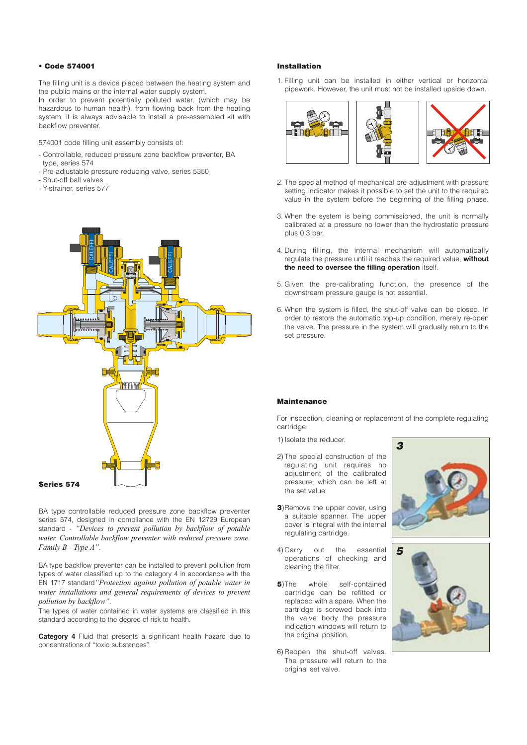#### **• Code 574001**

The filling unit is a device placed between the heating system and the public mains or the internal water supply system.

In order to prevent potentially polluted water, (which may be hazardous to human health), from flowing back from the heating system, it is always advisable to install a pre-assembled kit with backflow preventer.

574001 code filling unit assembly consists of:

- Controllable, reduced pressure zone backflow preventer, BA type, series 574
- Pre-adjustable pressure reducing valve, series 5350
- Shut-off ball valves
- Y-strainer, series 577



BA type controllable reduced pressure zone backflow preventer series 574, designed in compliance with the EN 12729 European standard - *"Devices to prevent pollution by backflow of potable water. Controllable backflow preventer with reduced pressure zone. Family B - Type A"*.

BA type backflow preventer can be installed to prevent pollution from types of water classified up to the category 4 in accordance with the EN 1717 standard*"Protection against pollution of potable water in water installations and general requirements of devices to prevent pollution by backflow"*.

The types of water contained in water systems are classified in this standard according to the degree of risk to health.

**Category 4** Fluid that presents a significant health hazard due to concentrations of "toxic substances".

#### **Installation**

1. Filling unit can be installed in either vertical or horizontal pipework. However, the unit must not be installed upside down.



- 2. The special method of mechanical pre-adjustment with pressure setting indicator makes it possible to set the unit to the required value in the system before the beginning of the filling phase.
- 3. When the system is being commissioned, the unit is normally calibrated at a pressure no lower than the hydrostatic pressure plus 0,3 bar.
- 4. During filling, the internal mechanism will automatically regulate the pressure until it reaches the required value, **without the need to oversee the filling operation** itself.
- 5. Given the pre-calibrating function, the presence of the downstream pressure gauge is not essential.
- 6. When the system is filled, the shut-off valve can be closed. In order to restore the automatic top-up condition, merely re-open the valve. The pressure in the system will gradually return to the set pressure.

#### **Maintenance**

For inspection, cleaning or replacement of the complete regulating cartridge:

1) Isolate the reducer.

- 2) The special construction of the regulating unit requires no adjustment of the calibrated pressure, which can be left at the set value.
- **3**)Remove the upper cover, using a suitable spanner. The upper cover is integral with the internal regulating cartridge.
- 4) Carry out the essential operations of checking and cleaning the filter.
- **5**)The whole self-contained cartridge can be refitted or replaced with a spare. When the cartridge is screwed back into the valve body the pressure indication windows will return to the original position.
- 6) Reopen the shut-off valves. The pressure will return to the original set valve.